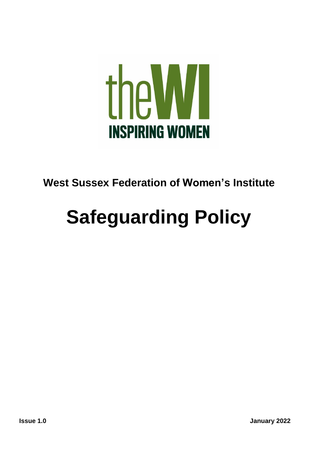

# **West Sussex Federation of Women's Institute**

# **Safeguarding Policy**

**Issue 1.0 January 2022**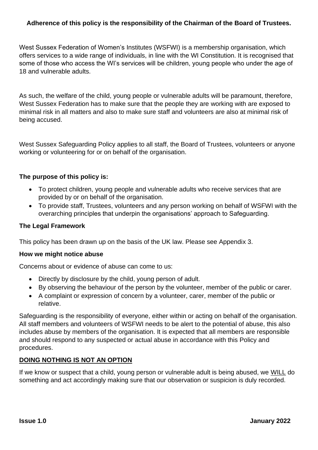# **Adherence of this policy is the responsibility of the Chairman of the Board of Trustees.**

West Sussex Federation of Women's Institutes (WSFWI) is a membership organisation, which offers services to a wide range of individuals, in line with the WI Constitution. It is recognised that some of those who access the WI's services will be children, young people who under the age of 18 and vulnerable adults.

As such, the welfare of the child, young people or vulnerable adults will be paramount, therefore, West Sussex Federation has to make sure that the people they are working with are exposed to minimal risk in all matters and also to make sure staff and volunteers are also at minimal risk of being accused.

West Sussex Safeguarding Policy applies to all staff, the Board of Trustees, volunteers or anyone working or volunteering for or on behalf of the organisation.

#### **The purpose of this policy is:**

- To protect children, young people and vulnerable adults who receive services that are provided by or on behalf of the organisation.
- To provide staff, Trustees, volunteers and any person working on behalf of WSFWI with the overarching principles that underpin the organisations' approach to Safeguarding.

#### **The Legal Framework**

This policy has been drawn up on the basis of the UK law. Please see Appendix 3.

#### **How we might notice abuse**

Concerns about or evidence of abuse can come to us:

- Directly by disclosure by the child, young person of adult.
- By observing the behaviour of the person by the volunteer, member of the public or carer.
- A complaint or expression of concern by a volunteer, carer, member of the public or relative.

Safeguarding is the responsibility of everyone, either within or acting on behalf of the organisation. All staff members and volunteers of WSFWI needs to be alert to the potential of abuse, this also includes abuse by members of the organisation. It is expected that all members are responsible and should respond to any suspected or actual abuse in accordance with this Policy and procedures.

#### **DOING NOTHING IS NOT AN OPTION**

If we know or suspect that a child, young person or vulnerable adult is being abused, we WILL do something and act accordingly making sure that our observation or suspicion is duly recorded.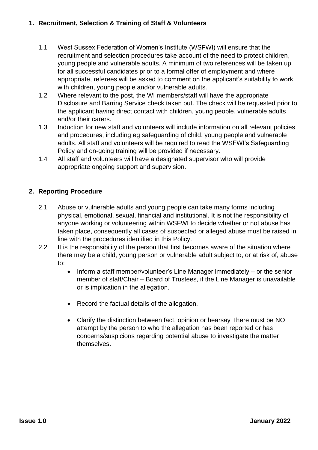## **1. Recruitment, Selection & Training of Staff & Volunteers**

- 1.1 West Sussex Federation of Women's Institute (WSFWI) will ensure that the recruitment and selection procedures take account of the need to protect children, young people and vulnerable adults. A minimum of two references will be taken up for all successful candidates prior to a formal offer of employment and where appropriate, referees will be asked to comment on the applicant's suitability to work with children, young people and/or vulnerable adults.
- 1.2 Where relevant to the post, the WI members/staff will have the appropriate Disclosure and Barring Service check taken out. The check will be requested prior to the applicant having direct contact with children, young people, vulnerable adults and/or their carers.
- 1.3 Induction for new staff and volunteers will include information on all relevant policies and procedures, including eg safeguarding of child, young people and vulnerable adults. All staff and volunteers will be required to read the WSFWI's Safeguarding Policy and on-going training will be provided if necessary.
- 1.4 All staff and volunteers will have a designated supervisor who will provide appropriate ongoing support and supervision.

# **2. Reporting Procedure**

- 2.1 Abuse or vulnerable adults and young people can take many forms including physical, emotional, sexual, financial and institutional. It is not the responsibility of anyone working or volunteering within WSFWI to decide whether or not abuse has taken place, consequently all cases of suspected or alleged abuse must be raised in line with the procedures identified in this Policy.
- 2.2 It is the responsibility of the person that first becomes aware of the situation where there may be a child, young person or vulnerable adult subject to, or at risk of, abuse to:
	- Inform a staff member/volunteer's Line Manager immediately or the senior member of staff/Chair – Board of Trustees, if the Line Manager is unavailable or is implication in the allegation.
	- Record the factual details of the allegation.
	- Clarify the distinction between fact, opinion or hearsay There must be NO attempt by the person to who the allegation has been reported or has concerns/suspicions regarding potential abuse to investigate the matter themselves.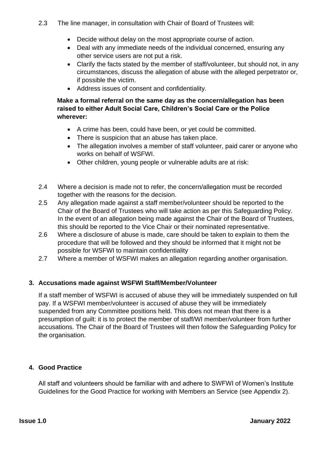- Decide without delay on the most appropriate course of action.
- Deal with any immediate needs of the individual concerned, ensuring any other service users are not put a risk.
- Clarify the facts stated by the member of staff/volunteer, but should not, in any circumstances, discuss the allegation of abuse with the alleged perpetrator or, if possible the victim.
- Address issues of consent and confidentiality.

# **Make a formal referral on the same day as the concern/allegation has been raised to either Adult Social Care, Children's Social Care or the Police wherever:**

- A crime has been, could have been, or yet could be committed.
- There is suspicion that an abuse has taken place.
- The allegation involves a member of staff volunteer, paid carer or anyone who works on behalf of WSFWI.
- Other children, young people or vulnerable adults are at risk:
- 2.4 Where a decision is made not to refer, the concern/allegation must be recorded together with the reasons for the decision.
- 2.5 Any allegation made against a staff member/volunteer should be reported to the Chair of the Board of Trustees who will take action as per this Safeguarding Policy. In the event of an allegation being made against the Chair of the Board of Trustees, this should be reported to the Vice Chair or their nominated representative.
- 2.6 Where a disclosure of abuse is made, care should be taken to explain to them the procedure that will be followed and they should be informed that it might not be possible for WSFWI to maintain confidentiality
- 2.7 Where a member of WSFWI makes an allegation regarding another organisation.

# **3. Accusations made against WSFWI Staff/Member/Volunteer**

If a staff member of WSFWI is accused of abuse they will be immediately suspended on full pay. If a WSFWI member/volunteer is accused of abuse they will be immediately suspended from any Committee positions held. This does not mean that there is a presumption of guilt: it is to protect the member of staff/WI member/volunteer from further accusations. The Chair of the Board of Trustees will then follow the Safeguarding Policy for the organisation.

#### **4. Good Practice**

All staff and volunteers should be familiar with and adhere to SWFWI of Women's Institute Guidelines for the Good Practice for working with Members an Service (see Appendix 2).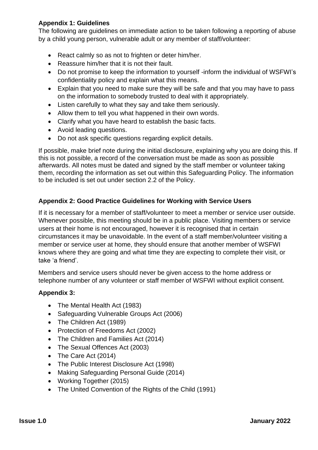# **Appendix 1: Guidelines**

The following are guidelines on immediate action to be taken following a reporting of abuse by a child young person, vulnerable adult or any member of staff/volunteer:

- React calmly so as not to frighten or deter him/her.
- Reassure him/her that it is not their fault.
- Do not promise to keep the information to yourself -inform the individual of WSFWI's confidentiality policy and explain what this means.
- Explain that you need to make sure they will be safe and that you may have to pass on the information to somebody trusted to deal with it appropriately.
- Listen carefully to what they say and take them seriously.
- Allow them to tell you what happened in their own words.
- Clarify what you have heard to establish the basic facts.
- Avoid leading questions.
- Do not ask specific questions regarding explicit details.

If possible, make brief note during the initial disclosure, explaining why you are doing this. If this is not possible, a record of the conversation must be made as soon as possible afterwards. All notes must be dated and signed by the staff member or volunteer taking them, recording the information as set out within this Safeguarding Policy. The information to be included is set out under section 2.2 of the Policy.

# **Appendix 2: Good Practice Guidelines for Working with Service Users**

If it is necessary for a member of staff/volunteer to meet a member or service user outside. Whenever possible, this meeting should be in a public place. Visiting members or service users at their home is not encouraged, however it is recognised that in certain circumstances it may be unavoidable. In the event of a staff member/volunteer visiting a member or service user at home, they should ensure that another member of WSFWI knows where they are going and what time they are expecting to complete their visit, or take 'a friend'.

Members and service users should never be given access to the home address or telephone number of any volunteer or staff member of WSFWI without explicit consent.

# **Appendix 3:**

- The Mental Health Act (1983)
- Safeguarding Vulnerable Groups Act (2006)
- The Children Act (1989)
- Protection of Freedoms Act (2002)
- The Children and Families Act (2014)
- The Sexual Offences Act (2003)
- The Care Act (2014)
- The Public Interest Disclosure Act (1998)
- Making Safeguarding Personal Guide (2014)
- Working Together (2015)
- The United Convention of the Rights of the Child (1991)